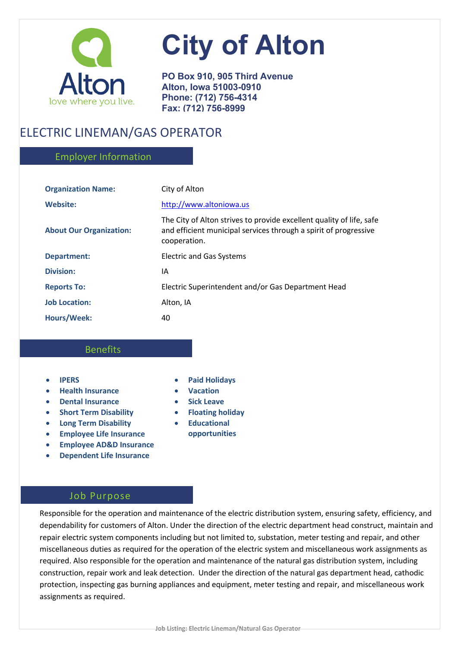

# **City of Alton**

**PO Box 910, 905 Third Avenue Alton, Iowa 51003-0910 Phone: (712) 756-4314 Fax: (712) 756-8999**

# ELECTRIC LINEMAN/GAS OPERATOR

# Employer Information

| <b>Organization Name:</b>      | City of Alton                                                                                                                                            |
|--------------------------------|----------------------------------------------------------------------------------------------------------------------------------------------------------|
| <b>Website:</b>                | http://www.altoniowa.us                                                                                                                                  |
| <b>About Our Organization:</b> | The City of Alton strives to provide excellent quality of life, safe<br>and efficient municipal services through a spirit of progressive<br>cooperation. |
| <b>Department:</b>             | <b>Electric and Gas Systems</b>                                                                                                                          |
| <b>Division:</b>               | IA                                                                                                                                                       |
| <b>Reports To:</b>             | Electric Superintendent and/or Gas Department Head                                                                                                       |
| <b>Job Location:</b>           | Alton, IA                                                                                                                                                |
| <b>Hours/Week:</b>             | 40                                                                                                                                                       |

# Benefits

- **IPERS**
- **Health Insurance**
- **Dental Insurance**
- **Short Term Disability**
- **Long Term Disability**
- **Employee Life Insurance**
- **Employee AD&D Insurance**
- **Dependent Life Insurance**

# • **Paid Holidays**

- **Vacation**
- **Sick Leave**
- **Floating holiday**
- **Educational opportunities**

# Job Purpose

Responsible for the operation and maintenance of the electric distribution system, ensuring safety, efficiency, and dependability for customers of Alton. Under the direction of the electric department head construct, maintain and repair electric system components including but not limited to, substation, meter testing and repair, and other miscellaneous duties as required for the operation of the electric system and miscellaneous work assignments as required. Also responsible for the operation and maintenance of the natural gas distribution system, including construction, repair work and leak detection. Under the direction of the natural gas department head, cathodic protection, inspecting gas burning appliances and equipment, meter testing and repair, and miscellaneous work assignments as required.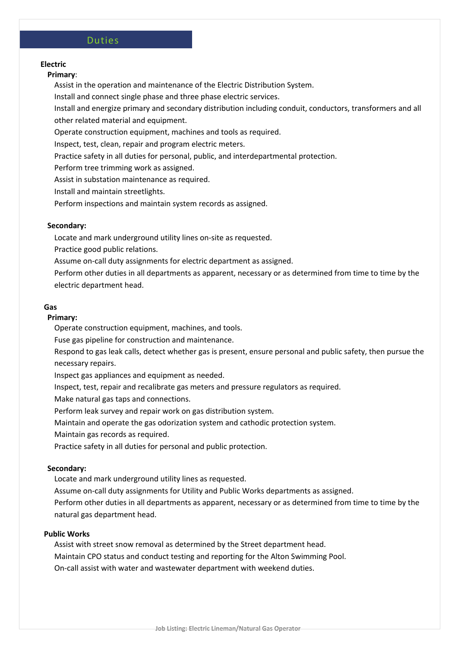#### Duties

### **Electric**

#### **Primary**:

Assist in the operation and maintenance of the Electric Distribution System.

Install and connect single phase and three phase electric services.

Install and energize primary and secondary distribution including conduit, conductors, transformers and all other related material and equipment.

Operate construction equipment, machines and tools as required.

Inspect, test, clean, repair and program electric meters.

Practice safety in all duties for personal, public, and interdepartmental protection.

Perform tree trimming work as assigned.

Assist in substation maintenance as required.

Install and maintain streetlights.

Perform inspections and maintain system records as assigned.

#### **Secondary:**

Locate and mark underground utility lines on-site as requested.

Practice good public relations.

Assume on-call duty assignments for electric department as assigned.

Perform other duties in all departments as apparent, necessary or as determined from time to time by the electric department head.

#### **Gas**

## **Primary:**

Operate construction equipment, machines, and tools.

Fuse gas pipeline for construction and maintenance.

Respond to gas leak calls, detect whether gas is present, ensure personal and public safety, then pursue the necessary repairs.

Inspect gas appliances and equipment as needed.

Inspect, test, repair and recalibrate gas meters and pressure regulators as required.

Make natural gas taps and connections.

Perform leak survey and repair work on gas distribution system.

Maintain and operate the gas odorization system and cathodic protection system.

Maintain gas records as required.

Practice safety in all duties for personal and public protection.

#### **Secondary:**

Locate and mark underground utility lines as requested.

Assume on-call duty assignments for Utility and Public Works departments as assigned.

Perform other duties in all departments as apparent, necessary or as determined from time to time by the natural gas department head.

#### **Public Works**

Assist with street snow removal as determined by the Street department head. Maintain CPO status and conduct testing and reporting for the Alton Swimming Pool. On-call assist with water and wastewater department with weekend duties.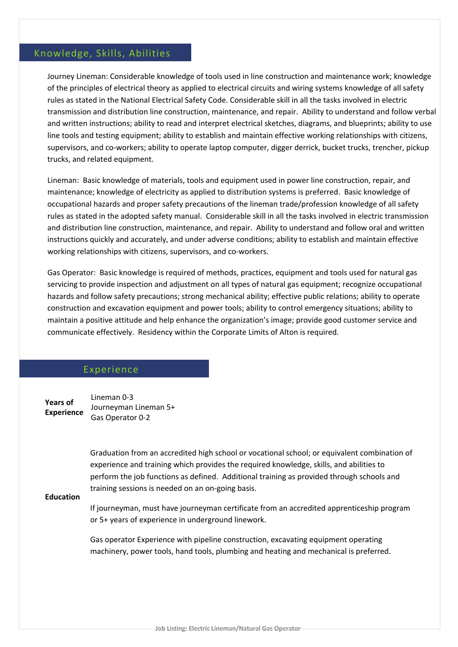# Knowledge, Skills, Abilities

Journey Lineman: Considerable knowledge of tools used in line construction and maintenance work; knowledge of the principles of electrical theory as applied to electrical circuits and wiring systems knowledge of all safety rules as stated in the National Electrical Safety Code. Considerable skill in all the tasks involved in electric transmission and distribution line construction, maintenance, and repair. Ability to understand and follow verbal and written instructions; ability to read and interpret electrical sketches, diagrams, and blueprints; ability to use line tools and testing equipment; ability to establish and maintain effective working relationships with citizens, supervisors, and co-workers; ability to operate laptop computer, digger derrick, bucket trucks, trencher, pickup trucks, and related equipment.

Lineman: Basic knowledge of materials, tools and equipment used in power line construction, repair, and maintenance; knowledge of electricity as applied to distribution systems is preferred. Basic knowledge of occupational hazards and proper safety precautions of the lineman trade/profession knowledge of all safety rules as stated in the adopted safety manual. Considerable skill in all the tasks involved in electric transmission and distribution line construction, maintenance, and repair. Ability to understand and follow oral and written instructions quickly and accurately, and under adverse conditions; ability to establish and maintain effective working relationships with citizens, supervisors, and co-workers.

Gas Operator: Basic knowledge is required of methods, practices, equipment and tools used for natural gas servicing to provide inspection and adjustment on all types of natural gas equipment; recognize occupational hazards and follow safety precautions; strong mechanical ability; effective public relations; ability to operate construction and excavation equipment and power tools; ability to control emergency situations; ability to maintain a positive attitude and help enhance the organization's image; provide good customer service and communicate effectively. Residency within the Corporate Limits of Alton is required.

# Experience

**Years of Experience** Lineman 0-3 Journeyman Lineman 5+ Gas Operator 0-2

> Graduation from an accredited high school or vocational school; or equivalent combination of experience and training which provides the required knowledge, skills, and abilities to perform the job functions as defined. Additional training as provided through schools and training sessions is needed on an on-going basis.

#### **Education**

If journeyman, must have journeyman certificate from an accredited apprenticeship program or 5+ years of experience in underground linework.

Gas operator Experience with pipeline construction, excavating equipment operating machinery, power tools, hand tools, plumbing and heating and mechanical is preferred.